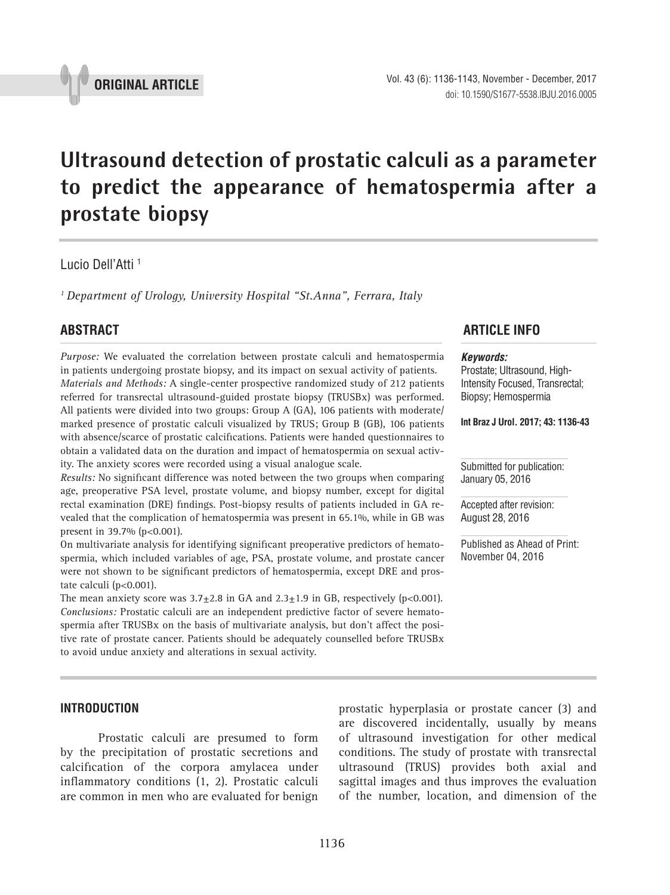

# **Ultrasound detection of prostatic calculi as a parameter to predict the appearance of hematospermia after a prostate biopsy \_\_\_\_\_\_\_\_\_\_\_\_\_\_\_\_\_\_\_\_\_\_\_\_\_\_\_\_\_\_\_\_\_\_\_\_\_\_\_\_\_\_\_\_\_\_\_**

# Lucio Dell'Atti 1

*1 Department of Urology, University Hospital "St.Anna", Ferrara, Italy*

*Purpose:* We evaluated the correlation between prostate calculi and hematospermia in patients undergoing prostate biopsy, and its impact on sexual activity of patients. *Materials and Methods:* A single-center prospective randomized study of 212 patients referred for transrectal ultrasound-guided prostate biopsy (TRUSBx) was performed. All patients were divided into two groups: Group A (GA), 106 patients with moderate/ marked presence of prostatic calculi visualized by TRUS; Group B (GB), 106 patients with absence/scarce of prostatic calcifications. Patients were handed questionnaires to obtain a validated data on the duration and impact of hematospermia on sexual activity. The anxiety scores were recorded using a visual analogue scale.

*Results:* No significant difference was noted between the two groups when comparing age, preoperative PSA level, prostate volume, and biopsy number, except for digital rectal examination (DRE) findings. Post-biopsy results of patients included in GA revealed that the complication of hematospermia was present in 65.1%, while in GB was present in 39.7% (p<0.001).

On multivariate analysis for identifying significant preoperative predictors of hematospermia, which included variables of age, PSA, prostate volume, and prostate cancer were not shown to be significant predictors of hematospermia, except DRE and prostate calculi (p<0.001).

The mean anxiety score was  $3.7\pm 2.8$  in GA and  $2.3\pm 1.9$  in GB, respectively (p<0.001). *Conclusions:* Prostatic calculi are an independent predictive factor of severe hematospermia after TRUSBx on the basis of multivariate analysis, but don't affect the positive rate of prostate cancer. Patients should be adequately counselled before TRUSBx to avoid undue anxiety and alterations in sexual activity.

# **ABSTRACT ARTICLE INFO** *\_\_\_\_\_\_\_\_\_\_\_\_\_\_\_\_\_\_\_\_\_\_\_\_\_\_\_\_\_\_\_\_\_\_\_\_\_\_\_\_\_\_\_\_\_\_\_\_\_\_\_\_\_\_\_\_\_\_\_\_\_\_ \_\_\_\_\_\_\_\_\_\_\_\_\_\_\_\_\_\_\_\_\_\_*

#### *Keywords:*

Prostate; Ultrasound, High-Intensity Focused, Transrectal; Biopsy; Hemospermia

#### **Int Braz J Urol. 2017; 43: 1136-43**

Submitted for publication: January 05, 2016

Accepted after revision: August 28, 2016

Published as Ahead of Print: November 04, 2016

# **INTRODUCTION**

Prostatic calculi are presumed to form by the precipitation of prostatic secretions and calcification of the corpora amylacea under inflammatory conditions (1, 2). Prostatic calculi are common in men who are evaluated for benign prostatic hyperplasia or prostate cancer (3) and are discovered incidentally, usually by means of ultrasound investigation for other medical conditions. The study of prostate with transrectal ultrasound (TRUS) provides both axial and sagittal images and thus improves the evaluation of the number, location, and dimension of the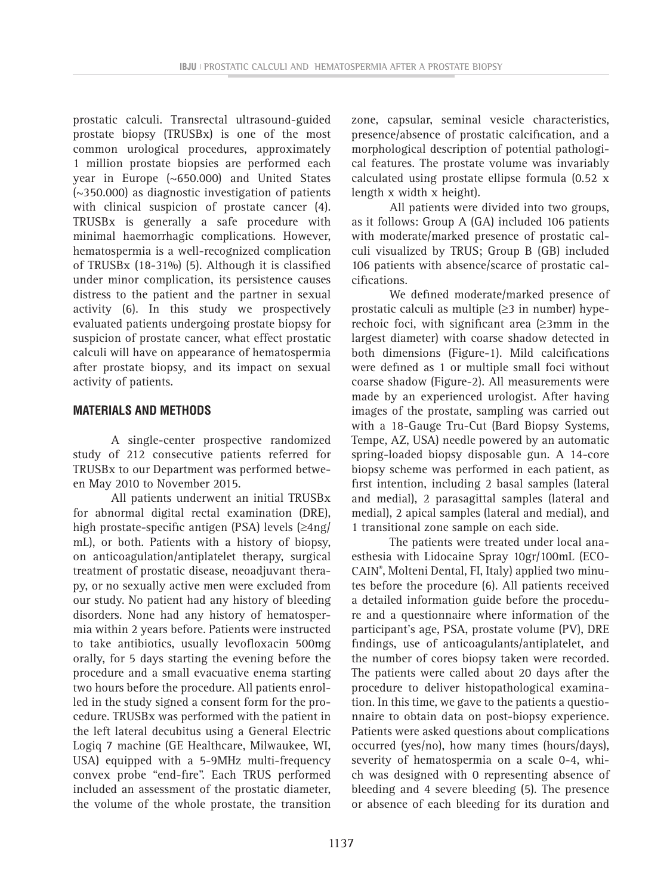prostatic calculi. Transrectal ultrasound-guided prostate biopsy (TRUSBx) is one of the most common urological procedures, approximately 1 million prostate biopsies are performed each year in Europe (~650.000) and United States (~350.000) as diagnostic investigation of patients with clinical suspicion of prostate cancer (4). TRUSBx is generally a safe procedure with minimal haemorrhagic complications. However, hematospermia is a well-recognized complication of TRUSBx (18-31%) (5). Although it is classified under minor complication, its persistence causes distress to the patient and the partner in sexual activity (6). In this study we prospectively evaluated patients undergoing prostate biopsy for suspicion of prostate cancer, what effect prostatic calculi will have on appearance of hematospermia after prostate biopsy, and its impact on sexual activity of patients.

# **MATERIALS AND METHODS**

A single-center prospective randomized study of 212 consecutive patients referred for TRUSBx to our Department was performed between May 2010 to November 2015.

All patients underwent an initial TRUSBx for abnormal digital rectal examination (DRE), high prostate-specific antigen (PSA) levels (≥4ng/ mL), or both. Patients with a history of biopsy, on anticoagulation/antiplatelet therapy, surgical treatment of prostatic disease, neoadjuvant therapy, or no sexually active men were excluded from our study. No patient had any history of bleeding disorders. None had any history of hematospermia within 2 years before. Patients were instructed to take antibiotics, usually levofloxacin 500mg orally, for 5 days starting the evening before the procedure and a small evacuative enema starting two hours before the procedure. All patients enrolled in the study signed a consent form for the procedure. TRUSBx was performed with the patient in the left lateral decubitus using a General Electric Logiq 7 machine (GE Healthcare, Milwaukee, WI, USA) equipped with a 5-9MHz multi-frequency convex probe "end-fire". Each TRUS performed included an assessment of the prostatic diameter, the volume of the whole prostate, the transition zone, capsular, seminal vesicle characteristics, presence/absence of prostatic calcification, and a morphological description of potential pathological features. The prostate volume was invariably calculated using prostate ellipse formula (0.52 x length x width x height).

All patients were divided into two groups, as it follows: Group A (GA) included 106 patients with moderate/marked presence of prostatic calculi visualized by TRUS; Group B (GB) included 106 patients with absence/scarce of prostatic calcifications.

We defined moderate/marked presence of prostatic calculi as multiple  $(\geq 3$  in number) hyperechoic foci, with significant area  $(\geq 3$ mm in the largest diameter) with coarse shadow detected in both dimensions (Figure-1). Mild calcifications were defined as 1 or multiple small foci without coarse shadow (Figure-2). All measurements were made by an experienced urologist. After having images of the prostate, sampling was carried out with a 18-Gauge Tru-Cut (Bard Biopsy Systems, Tempe, AZ, USA) needle powered by an automatic spring-loaded biopsy disposable gun. A 14-core biopsy scheme was performed in each patient, as first intention, including 2 basal samples (lateral and medial), 2 parasagittal samples (lateral and medial), 2 apical samples (lateral and medial), and 1 transitional zone sample on each side.

The patients were treated under local anaesthesia with Lidocaine Spray 10gr/100mL (ECO-CAIN® , Molteni Dental, FI, Italy) applied two minutes before the procedure (6). All patients received a detailed information guide before the procedure and a questionnaire where information of the participant's age, PSA, prostate volume (PV), DRE findings, use of anticoagulants/antiplatelet, and the number of cores biopsy taken were recorded. The patients were called about 20 days after the procedure to deliver histopathological examination. In this time, we gave to the patients a questionnaire to obtain data on post-biopsy experience. Patients were asked questions about complications occurred (yes/no), how many times (hours/days), severity of hematospermia on a scale 0-4, which was designed with 0 representing absence of bleeding and 4 severe bleeding (5). The presence or absence of each bleeding for its duration and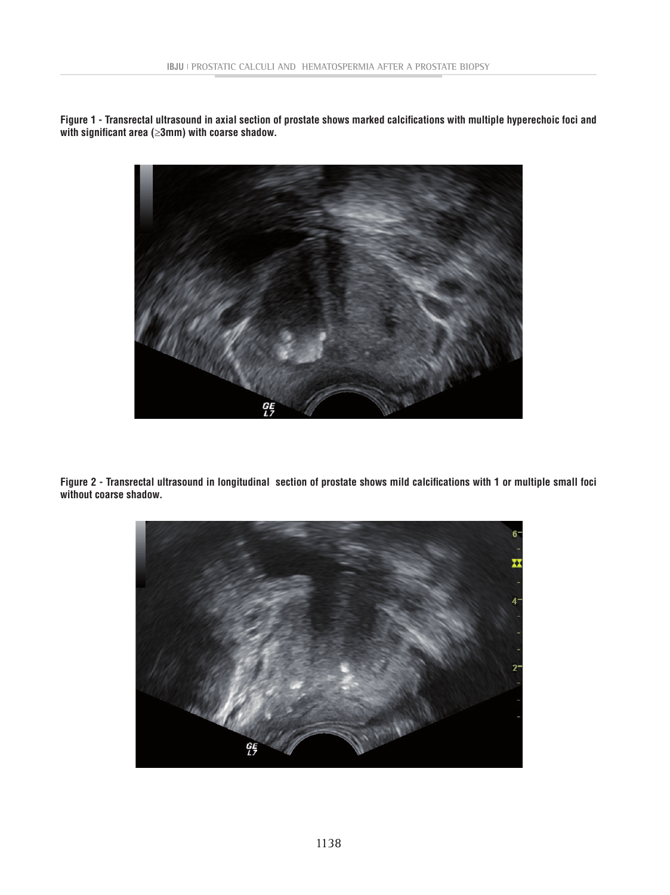**Figure 1 - Transrectal ultrasound in axial section of prostate shows marked calcifications with multiple hyperechoic foci and with significant area (**≥**3mm) with coarse shadow.**



**Figure 2 - Transrectal ultrasound in longitudinal section of prostate shows mild calcifications with 1 or multiple small foci without coarse shadow.**

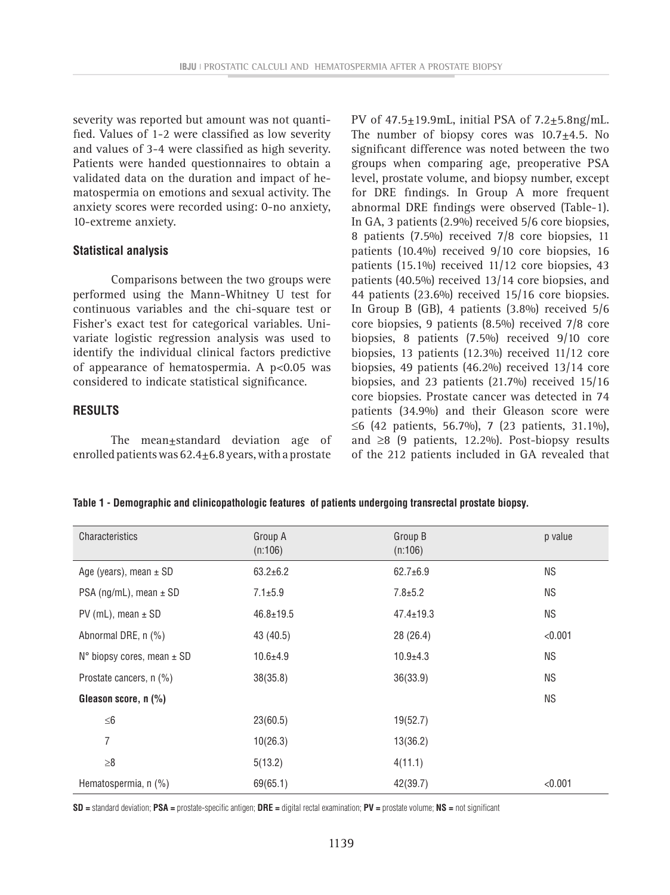severity was reported but amount was not quantified. Values of 1-2 were classified as low severity and values of 3-4 were classified as high severity. Patients were handed questionnaires to obtain a validated data on the duration and impact of hematospermia on emotions and sexual activity. The anxiety scores were recorded using: 0-no anxiety, 10-extreme anxiety.

#### **Statistical analysis**

Comparisons between the two groups were performed using the Mann-Whitney U test for continuous variables and the chi-square test or Fisher's exact test for categorical variables. Univariate logistic regression analysis was used to identify the individual clinical factors predictive of appearance of hematospermia. A p<0.05 was considered to indicate statistical significance.

# **RESULTS**

The mean±standard deviation age of enrolled patients was  $62.4\pm6.8$  years, with a prostate PV of 47.5±19.9mL, initial PSA of 7.2±5.8ng/mL. The number of biopsy cores was  $10.7 \pm 4.5$ . No significant difference was noted between the two groups when comparing age, preoperative PSA level, prostate volume, and biopsy number, except for DRE findings. In Group A more frequent abnormal DRE findings were observed (Table-1). In GA, 3 patients (2.9%) received 5/6 core biopsies, 8 patients (7.5%) received 7/8 core biopsies, 11 patients (10.4%) received 9/10 core biopsies, 16 patients (15.1%) received 11/12 core biopsies, 43 patients (40.5%) received 13/14 core biopsies, and 44 patients (23.6%) received 15/16 core biopsies. In Group B (GB), 4 patients (3.8%) received 5/6 core biopsies, 9 patients (8.5%) received 7/8 core biopsies, 8 patients (7.5%) received 9/10 core biopsies, 13 patients (12.3%) received 11/12 core biopsies, 49 patients (46.2%) received 13/14 core biopsies, and 23 patients (21.7%) received 15/16 core biopsies. Prostate cancer was detected in 74 patients (34.9%) and their Gleason score were ≤6 (42 patients, 56.7%), 7 (23 patients, 31.1%), and  $\geq$ 8 (9 patients, 12.2%). Post-biopsy results of the 212 patients included in GA revealed that

**Table 1 - Demographic and clinicopathologic features of patients undergoing transrectal prostate biopsy.**

| Characteristics                         | Group A<br>(n:106) | Group B<br>(n:106) | p value   |
|-----------------------------------------|--------------------|--------------------|-----------|
| Age (years), mean $\pm$ SD              | $63.2 + 6.2$       | $62.7 \pm 6.9$     | <b>NS</b> |
| PSA ( $ng/mL$ ), mean $±$ SD            | $7.1 \pm 5.9$      | $7.8 + 5.2$        | <b>NS</b> |
| $PV$ (mL), mean $\pm$ SD                | $46.8 \pm 19.5$    | $47.4 \pm 19.3$    | <b>NS</b> |
| Abnormal DRE, n (%)                     | 43 (40.5)          | 28 (26.4)          | < 0.001   |
| $N^{\circ}$ biopsy cores, mean $\pm$ SD | $10.6 + 4.9$       | $10.9 + 4.3$       | <b>NS</b> |
| Prostate cancers, n (%)                 | 38(35.8)           | 36(33.9)           | <b>NS</b> |
| Gleason score, n (%)                    |                    |                    | <b>NS</b> |
| $\leq 6$                                | 23(60.5)           | 19(52.7)           |           |
| 7                                       | 10(26.3)           | 13(36.2)           |           |
| $\geq 8$                                | 5(13.2)            | 4(11.1)            |           |
| Hematospermia, n (%)                    | 69(65.1)           | 42(39.7)           | < 0.001   |

**SD =** standard deviation; **PSA =** prostate-specific antigen; **DRE =** digital rectal examination; **PV =** prostate volume; **NS =** not significant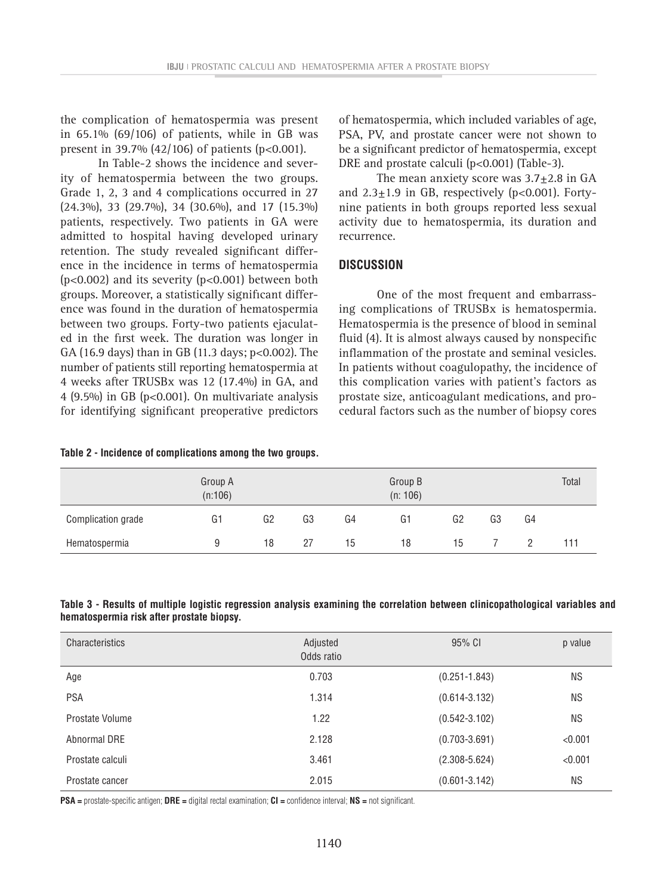the complication of hematospermia was present in 65.1% (69/106) of patients, while in GB was present in 39.7%  $(42/106)$  of patients  $(p<0.001)$ .

In Table-2 shows the incidence and severity of hematospermia between the two groups. Grade 1, 2, 3 and 4 complications occurred in 27 (24.3%), 33 (29.7%), 34 (30.6%), and 17 (15.3%) patients, respectively. Two patients in GA were admitted to hospital having developed urinary retention. The study revealed significant difference in the incidence in terms of hematospermia (p<0.002) and its severity (p<0.001) between both groups. Moreover, a statistically significant difference was found in the duration of hematospermia between two groups. Forty-two patients ejaculated in the first week. The duration was longer in GA (16.9 days) than in GB (11.3 days; p<0.002). The number of patients still reporting hematospermia at 4 weeks after TRUSBx was 12 (17.4%) in GA, and 4 (9.5%) in GB (p<0.001). On multivariate analysis for identifying significant preoperative predictors

# **Table 2 - Incidence of complications among the two groups.**

of hematospermia, which included variables of age, PSA, PV, and prostate cancer were not shown to be a significant predictor of hematospermia, except DRE and prostate calculi (p<0.001) (Table-3).

The mean anxiety score was  $3.7\pm2.8$  in GA and  $2.3\pm1.9$  in GB, respectively (p<0.001). Fortynine patients in both groups reported less sexual activity due to hematospermia, its duration and recurrence.

### **DISCUSSION**

One of the most frequent and embarrassing complications of TRUSBx is hematospermia. Hematospermia is the presence of blood in seminal fluid (4). It is almost always caused by nonspecific inflammation of the prostate and seminal vesicles. In patients without coagulopathy, the incidence of this complication varies with patient's factors as prostate size, anticoagulant medications, and procedural factors such as the number of biopsy cores

|                    | Group A<br>(n:106) |                |    |    | Group B<br>(n: 106) |                |    |    |     |
|--------------------|--------------------|----------------|----|----|---------------------|----------------|----|----|-----|
| Complication grade | G1                 | G <sub>2</sub> | G3 | G4 | G1                  | G <sub>2</sub> | G3 | G4 |     |
| Hematospermia      | 9                  | 18             | 27 | 15 | 18                  | 15             |    |    | 111 |

|                                           |  |  |  | Table 3 - Results of multiple logistic regression analysis examining the correlation between clinicopathological variables and |  |
|-------------------------------------------|--|--|--|--------------------------------------------------------------------------------------------------------------------------------|--|
| hematospermia risk after prostate biopsy. |  |  |  |                                                                                                                                |  |

| <b>Characteristics</b> | Adjusted<br>Odds ratio | 95% CI            | p value   |
|------------------------|------------------------|-------------------|-----------|
| Age                    | 0.703                  | $(0.251 - 1.843)$ | <b>NS</b> |
| <b>PSA</b>             | 1.314                  | $(0.614 - 3.132)$ | <b>NS</b> |
| Prostate Volume        | 1.22                   | $(0.542 - 3.102)$ | <b>NS</b> |
| Abnormal DRE           | 2.128                  | $(0.703 - 3.691)$ | < 0.001   |
| Prostate calculi       | 3.461                  | $(2.308 - 5.624)$ | < 0.001   |
| Prostate cancer        | 2.015                  | $(0.601 - 3.142)$ | <b>NS</b> |

**PSA =** prostate-specific antigen; **DRE =** digital rectal examination; **CI =** confidence interval; **NS =** not significant.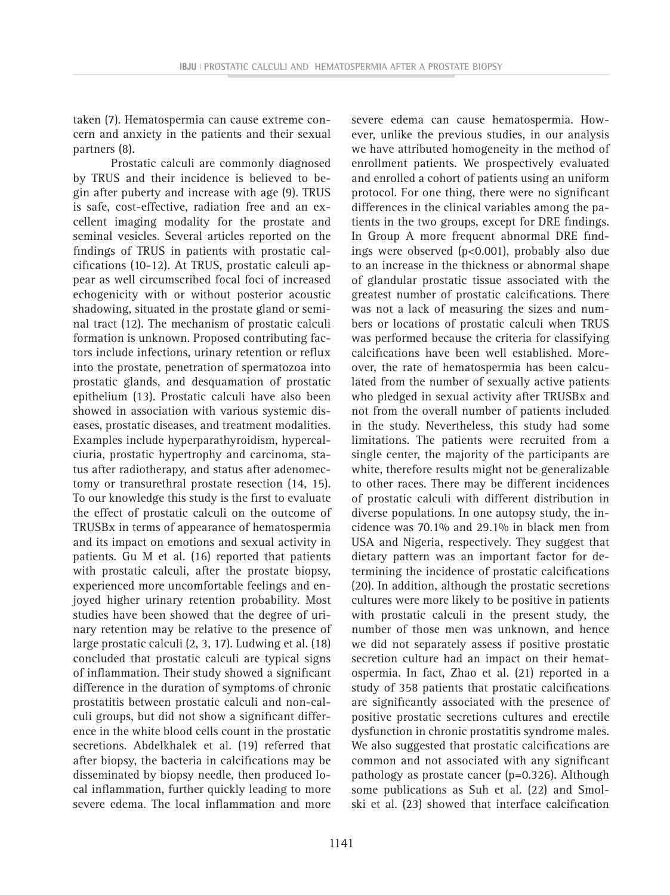taken (7). Hematospermia can cause extreme concern and anxiety in the patients and their sexual partners (8).

Prostatic calculi are commonly diagnosed by TRUS and their incidence is believed to begin after puberty and increase with age (9). TRUS is safe, cost-effective, radiation free and an excellent imaging modality for the prostate and seminal vesicles. Several articles reported on the findings of TRUS in patients with prostatic calcifications (10-12). At TRUS, prostatic calculi appear as well circumscribed focal foci of increased echogenicity with or without posterior acoustic shadowing, situated in the prostate gland or seminal tract (12). The mechanism of prostatic calculi formation is unknown. Proposed contributing factors include infections, urinary retention or reflux into the prostate, penetration of spermatozoa into prostatic glands, and desquamation of prostatic epithelium (13). Prostatic calculi have also been showed in association with various systemic diseases, prostatic diseases, and treatment modalities. Examples include hyperparathyroidism, hypercalciuria, prostatic hypertrophy and carcinoma, status after radiotherapy, and status after adenomectomy or transurethral prostate resection (14, 15). To our knowledge this study is the first to evaluate the effect of prostatic calculi on the outcome of TRUSBx in terms of appearance of hematospermia and its impact on emotions and sexual activity in patients. Gu M et al. (16) reported that patients with prostatic calculi, after the prostate biopsy, experienced more uncomfortable feelings and enjoyed higher urinary retention probability. Most studies have been showed that the degree of urinary retention may be relative to the presence of large prostatic calculi (2, 3, 17). Ludwing et al. (18) concluded that prostatic calculi are typical signs of inflammation. Their study showed a significant difference in the duration of symptoms of chronic prostatitis between prostatic calculi and non-calculi groups, but did not show a significant difference in the white blood cells count in the prostatic secretions. Abdelkhalek et al. (19) referred that after biopsy, the bacteria in calcifications may be disseminated by biopsy needle, then produced local inflammation, further quickly leading to more severe edema. The local inflammation and more severe edema can cause hematospermia. However, unlike the previous studies, in our analysis we have attributed homogeneity in the method of enrollment patients. We prospectively evaluated and enrolled a cohort of patients using an uniform protocol. For one thing, there were no significant differences in the clinical variables among the patients in the two groups, except for DRE findings. In Group A more frequent abnormal DRE findings were observed (p<0.001), probably also due to an increase in the thickness or abnormal shape of glandular prostatic tissue associated with the greatest number of prostatic calcifications. There was not a lack of measuring the sizes and numbers or locations of prostatic calculi when TRUS was performed because the criteria for classifying calcifications have been well established. Moreover, the rate of hematospermia has been calculated from the number of sexually active patients who pledged in sexual activity after TRUSBx and not from the overall number of patients included in the study. Nevertheless, this study had some limitations. The patients were recruited from a single center, the majority of the participants are white, therefore results might not be generalizable to other races. There may be different incidences of prostatic calculi with different distribution in diverse populations. In one autopsy study, the incidence was 70.1% and 29.1% in black men from USA and Nigeria, respectively. They suggest that dietary pattern was an important factor for determining the incidence of prostatic calcifications (20). In addition, although the prostatic secretions cultures were more likely to be positive in patients with prostatic calculi in the present study, the number of those men was unknown, and hence we did not separately assess if positive prostatic secretion culture had an impact on their hematospermia. In fact, Zhao et al. (21) reported in a study of 358 patients that prostatic calcifications are significantly associated with the presence of positive prostatic secretions cultures and erectile dysfunction in chronic prostatitis syndrome males. We also suggested that prostatic calcifications are common and not associated with any significant pathology as prostate cancer (p=0.326). Although some publications as Suh et al. (22) and Smolski et al. (23) showed that interface calcification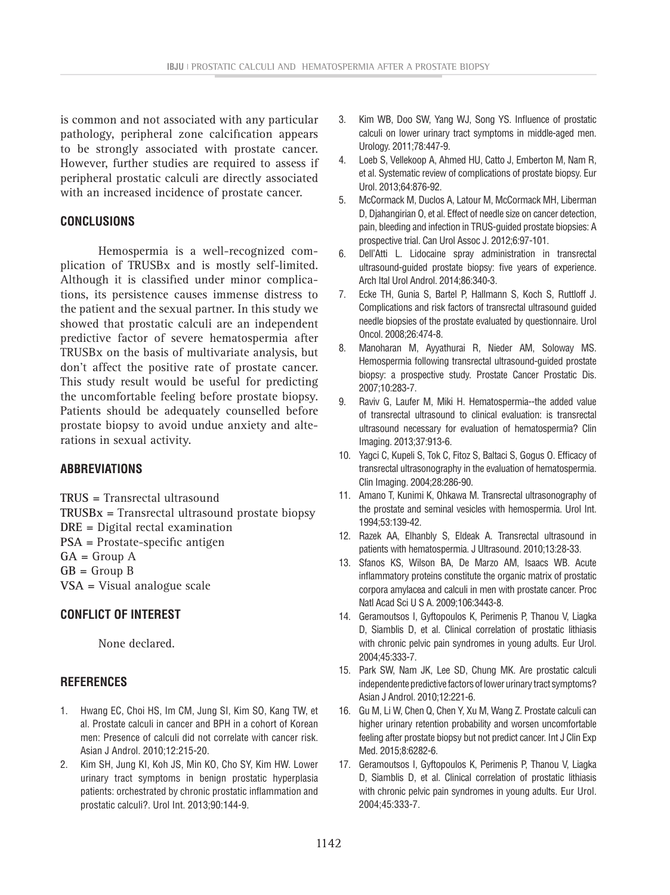is common and not associated with any particular pathology, peripheral zone calcification appears to be strongly associated with prostate cancer. However, further studies are required to assess if peripheral prostatic calculi are directly associated with an increased incidence of prostate cancer.

# **CONCLUSIONS**

Hemospermia is a well-recognized complication of TRUSBx and is mostly self-limited. Although it is classified under minor complications, its persistence causes immense distress to the patient and the sexual partner. In this study we showed that prostatic calculi are an independent predictive factor of severe hematospermia after TRUSBx on the basis of multivariate analysis, but don't affect the positive rate of prostate cancer. This study result would be useful for predicting the uncomfortable feeling before prostate biopsy. Patients should be adequately counselled before prostate biopsy to avoid undue anxiety and alterations in sexual activity.

# **ABBREVIATIONS**

**TRUS =** Transrectal ultrasound **TRUSBx =** Transrectal ultrasound prostate biopsy **DRE =** Digital rectal examination **PSA =** Prostate-specific antigen **GA =** Group A **GB =** Group B

**VSA =** Visual analogue scale

# **CONFLICT OF INTEREST**

None declared.

# **REFERENCES**

- 1. Hwang EC, Choi HS, Im CM, Jung SI, Kim SO, Kang TW, et al. Prostate calculi in cancer and BPH in a cohort of Korean men: Presence of calculi did not correlate with cancer risk. Asian J Androl. 2010;12:215-20.
- 2. Kim SH, Jung KI, Koh JS, Min KO, Cho SY, Kim HW. Lower urinary tract symptoms in benign prostatic hyperplasia patients: orchestrated by chronic prostatic inflammation and prostatic calculi?. Urol Int. 2013;90:144-9.
- 3. Kim WB, Doo SW, Yang WJ, Song YS. Influence of prostatic calculi on lower urinary tract symptoms in middle-aged men. Urology. 2011;78:447-9.
- 4. Loeb S, Vellekoop A, Ahmed HU, Catto J, Emberton M, Nam R, et al. Systematic review of complications of prostate biopsy. Eur Urol. 2013;64:876-92.
- 5. McCormack M, Duclos A, Latour M, McCormack MH, Liberman D, Djahangirian O, et al. Effect of needle size on cancer detection, pain, bleeding and infection in TRUS-guided prostate biopsies: A prospective trial. Can Urol Assoc J. 2012;6:97-101.
- 6. Dell'Atti L. Lidocaine spray administration in transrectal ultrasound-guided prostate biopsy: five years of experience. Arch Ital Urol Androl. 2014;86:340-3.
- 7. Ecke TH, Gunia S, Bartel P, Hallmann S, Koch S, Ruttloff J. Complications and risk factors of transrectal ultrasound guided needle biopsies of the prostate evaluated by questionnaire. Urol Oncol. 2008;26:474-8.
- 8. Manoharan M, Ayyathurai R, Nieder AM, Soloway MS. Hemospermia following transrectal ultrasound-guided prostate biopsy: a prospective study. Prostate Cancer Prostatic Dis. 2007;10:283-7.
- 9. Raviv G, Laufer M, Miki H. Hematospermia--the added value of transrectal ultrasound to clinical evaluation: is transrectal ultrasound necessary for evaluation of hematospermia? Clin Imaging. 2013;37:913-6.
- 10. Yagci C, Kupeli S, Tok C, Fitoz S, Baltaci S, Gogus O. Efficacy of transrectal ultrasonography in the evaluation of hematospermia. Clin Imaging. 2004;28:286-90.
- 11. Amano T, Kunimi K, Ohkawa M. Transrectal ultrasonography of the prostate and seminal vesicles with hemospermia. Urol Int. 1994;53:139-42.
- 12. Razek AA, Elhanbly S, Eldeak A. Transrectal ultrasound in patients with hematospermia. J Ultrasound. 2010;13:28-33.
- 13. Sfanos KS, Wilson BA, De Marzo AM, Isaacs WB. Acute inflammatory proteins constitute the organic matrix of prostatic corpora amylacea and calculi in men with prostate cancer. Proc Natl Acad Sci U S A. 2009;106:3443-8.
- 14. Geramoutsos I, Gyftopoulos K, Perimenis P, Thanou V, Liagka D, Siamblis D, et al. Clinical correlation of prostatic lithiasis with chronic pelvic pain syndromes in young adults. Eur Urol. 2004;45:333-7.
- 15. Park SW, Nam JK, Lee SD, Chung MK. Are prostatic calculi independente predictive factors of lower urinary tract symptoms? Asian J Androl. 2010;12:221-6.
- 16. Gu M, Li W, Chen Q, Chen Y, Xu M, Wang Z. Prostate calculi can higher urinary retention probability and worsen uncomfortable feeling after prostate biopsy but not predict cancer. Int J Clin Exp Med. 2015;8:6282-6.
- 17. Geramoutsos I, Gyftopoulos K, Perimenis P, Thanou V, Liagka D, Siamblis D, et al. Clinical correlation of prostatic lithiasis with chronic pelvic pain syndromes in young adults. Eur Urol. 2004;45:333-7.